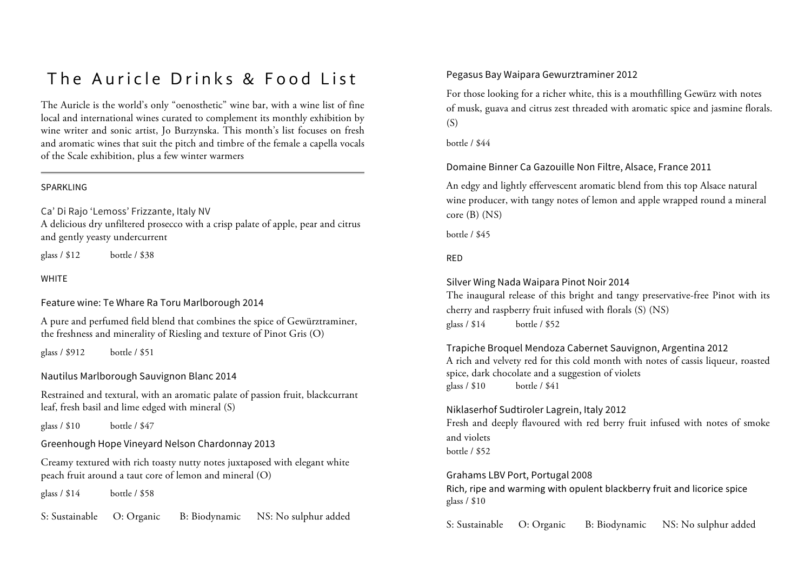## The Auricle Drinks & Food List

The Auricle is the world's only "oenosthetic" wine bar, with a wine list of fine local and international wines curated to complement its monthly exhibition by wine writer and sonic artist, Jo Burzynska. This month's list focuses on fresh and aromatic wines that suit the pitch and timbre of the female a capella vocals of the Scale exhibition, plus a few winter warmers

#### SPARKLING

Ca' Di Rajo 'Lemoss' Frizzante, Italy NV A delicious dry unfiltered prosecco with a crisp palate of apple, pear and citrus and gently yeasty undercurrent

glass / \$12 bottle / \$38

**WHITE** 

Feature wine: Te Whare Ra Toru Marlborough 2014

A pure and perfumed field blend that combines the spice of Gewürztraminer, the freshness and minerality of Riesling and texture of Pinot Gris (O)

glass / \$912 bottle / \$51

Nautilus Marlborough Sauvignon Blanc 2014

Restrained and textural, with an aromatic palate of passion fruit, blackcurrant leaf, fresh basil and lime edged with mineral (S)

glass / \$10 bottle / \$47

Greenhough Hope Vineyard Nelson Chardonnay 2013

Creamy textured with rich toasty nutty notes juxtaposed with elegant white peach fruit around a taut core of lemon and mineral (O)

glass / \$14 bottle / \$58

S: Sustainable O: Organic B: Biodynamic NS: No sulphur added

### Pegasus Bay Waipara Gewurztraminer 2012

For those looking for a richer white, this is a mouthfilling Gewürz with notes of musk, guava and citrus zest threaded with aromatic spice and jasmine florals.  $(S)$ 

bottle / \$44

Domaine Binner Ca Gazouille Non Filtre, Alsace, France 2011

An edgy and lightly effervescent aromatic blend from this top Alsace natural wine producer, with tangy notes of lemon and apple wrapped round a mineral core (B) (NS)

bottle / \$45

## RED

Silver Wing Nada Waipara Pinot Noir 2014

The inaugural release of this bright and tangy preservative-free Pinot with its cherry and raspberry fruit infused with florals (S) (NS) glass / \$14 bottle / \$52

Trapiche Broquel Mendoza Cabernet Sauvignon, Argentina 2012 A rich and velvety red for this cold month with notes of cassis liqueur, roasted spice, dark chocolate and a suggestion of violets glass / \$10 bottle / \$41

#### Niklaserhof Sudtiroler Lagrein, Italy 2012

Fresh and deeply flavoured with red berry fruit infused with notes of smoke and violets

bottle / \$52

Grahams LBV Port, Portugal 2008 Rich, ripe and warming with opulent blackberry fruit and licorice spice glass / \$10

S: Sustainable O: Organic B: Biodynamic NS: No sulphur added